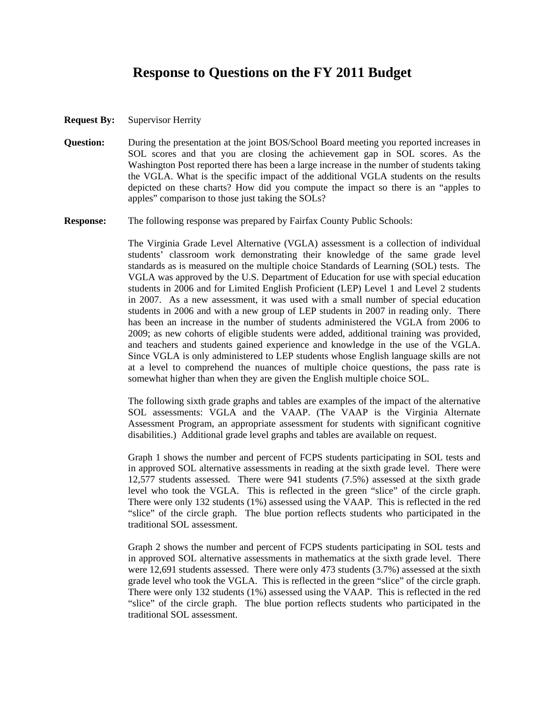## **Response to Questions on the FY 2011 Budget**

- **Request By:** Supervisor Herrity
- **Question:** During the presentation at the joint BOS/School Board meeting you reported increases in SOL scores and that you are closing the achievement gap in SOL scores. As the Washington Post reported there has been a large increase in the number of students taking the VGLA. What is the specific impact of the additional VGLA students on the results depicted on these charts? How did you compute the impact so there is an "apples to apples" comparison to those just taking the SOLs?
- **Response:** The following response was prepared by Fairfax County Public Schools:

The Virginia Grade Level Alternative (VGLA) assessment is a collection of individual students' classroom work demonstrating their knowledge of the same grade level standards as is measured on the multiple choice Standards of Learning (SOL) tests. The VGLA was approved by the U.S. Department of Education for use with special education students in 2006 and for Limited English Proficient (LEP) Level 1 and Level 2 students in 2007. As a new assessment, it was used with a small number of special education students in 2006 and with a new group of LEP students in 2007 in reading only. There has been an increase in the number of students administered the VGLA from 2006 to 2009; as new cohorts of eligible students were added, additional training was provided, and teachers and students gained experience and knowledge in the use of the VGLA. Since VGLA is only administered to LEP students whose English language skills are not at a level to comprehend the nuances of multiple choice questions, the pass rate is somewhat higher than when they are given the English multiple choice SOL.

The following sixth grade graphs and tables are examples of the impact of the alternative SOL assessments: VGLA and the VAAP. (The VAAP is the Virginia Alternate Assessment Program, an appropriate assessment for students with significant cognitive disabilities.) Additional grade level graphs and tables are available on request.

Graph 1 shows the number and percent of FCPS students participating in SOL tests and in approved SOL alternative assessments in reading at the sixth grade level. There were 12,577 students assessed. There were 941 students (7.5%) assessed at the sixth grade level who took the VGLA. This is reflected in the green "slice" of the circle graph. There were only 132 students (1%) assessed using the VAAP. This is reflected in the red "slice" of the circle graph. The blue portion reflects students who participated in the traditional SOL assessment.

Graph 2 shows the number and percent of FCPS students participating in SOL tests and in approved SOL alternative assessments in mathematics at the sixth grade level. There were 12,691 students assessed. There were only 473 students (3.7%) assessed at the sixth grade level who took the VGLA. This is reflected in the green "slice" of the circle graph. There were only 132 students (1%) assessed using the VAAP. This is reflected in the red "slice" of the circle graph. The blue portion reflects students who participated in the traditional SOL assessment.